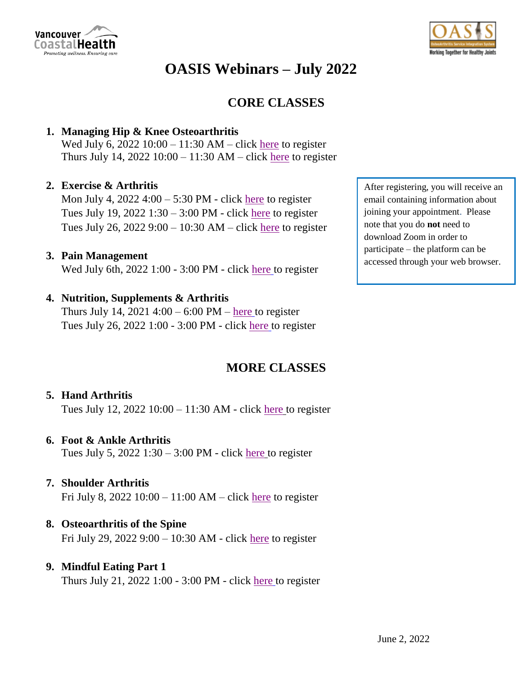



# **CORE CLASSES**

### **1. Managing Hip & Knee Osteoarthritis**

Wed July 6, 2022 10:00 – 11:30 AM – click [here](https://vancouvercoastalhealth.zoom.us/webinar/register/WN_8qtwYWLVQ3S_rOqzhjUWtw) to register Thurs July 14,  $2022 10:00 - 11:30 AM - click here to register$  $2022 10:00 - 11:30 AM - click here to register$  $2022 10:00 - 11:30 AM - click here to register$ 

#### **2. Exercise & Arthritis**

Mon July 4, 2022 4:00 – 5:30 PM - click [here](https://vancouvercoastalhealth.zoom.us/webinar/register/WN_x6fAU-pNQEeQnvpQTry2ng) to register Tues July 19, 2022 1:30 – 3:00 PM - click [here](https://vancouvercoastalhealth.zoom.us/webinar/register/WN_PP1L5rGUTPulOdZwUKhVZA) to register Tues July 26, 2022 9:00 – 10:30 AM – click [here](https://vancouvercoastalhealth.zoom.us/webinar/register/WN_9XrGf26DTIupKmgK-yBYJA) to register

#### **3. Pain Management**

Wed July 6th, 2022 1:00 - 3:00 PM - click [here](https://vancouvercoastalhealth.zoom.us/webinar/register/WN_wL8Cnu4KSL-rsaQxQIY-Yw) to register

### **4. Nutrition, Supplements & Arthritis**

Thurs July 14,  $2021\,4:00 - 6:00\,$  PM – [here](https://vancouvercoastalhealth.zoom.us/webinar/register/WN_pylSbB2PT4y2kXs7Eolphw) to register Tues July 26, 2022 1:00 - 3:00 PM - click [here](https://vancouvercoastalhealth.zoom.us/webinar/register/WN_hvpW4ywwR7eHNik9Y0PJFw) to register

## **MORE CLASSES**

#### **5. Hand Arthritis**

Tues July 12, 2022 10:00 – 11:30 AM - click [here](https://vancouvercoastalhealth.zoom.us/webinar/register/WN_hAa4kZY3SNSEgSZXmGsBHg) to register

#### **6. Foot & Ankle Arthritis**

Tues July 5,  $2022$  1:30 – 3:00 PM - click [here](https://vancouvercoastalhealth.zoom.us/webinar/register/WN_5ign2OIcSYqjvS7hRbV5hA) to register

#### **7. Shoulder Arthritis**

Fri July 8, 2022  $10:00 - 11:00$  AM – click [here](https://vancouvercoastalhealth.zoom.us/webinar/register/WN_Ghyo5YRHSL-5WXJ8wAyjUA) to register

#### **8. Osteoarthritis of the Spine**

Fri July 29, 2022 9:00 – 10:30 AM - click [here](https://vancouvercoastalhealth.zoom.us/webinar/register/WN_uDA-OUjZQUi6AJaM43AHrQ) to register

#### **9. Mindful Eating Part 1**

Thurs July 21, 2022 1:00 - 3:00 PM - click [here](https://vancouvercoastalhealth.zoom.us/meeting/register/u5Ukc-2tpjwuHNFjvwHyzFmBzyhmnVZQcpyI) to register

After registering, you will receive an email containing information about joining your appointment. Please note that you do **not** need to download Zoom in order to participate – the platform can be accessed through your web browser.